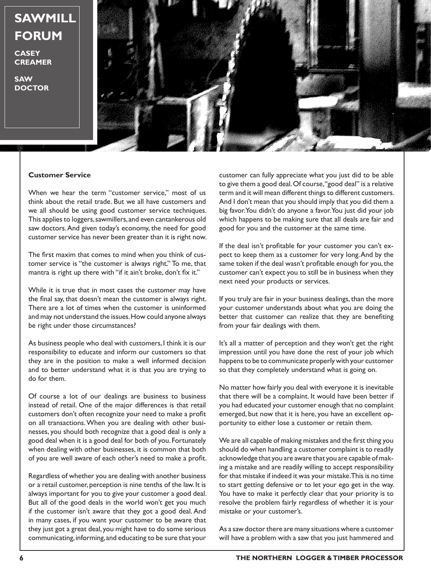## **SAWMILL FORUM**

**CASEY CREAMER**

**SAW DOCTOR**



## **Customer Service**

When we hear the term "customer service," most of us think about the retail trade. But we all have customers and we all should be using good customer service techniques. This applies to loggers, sawmillers, and even cantankerous old saw doctors. And given today's economy, the need for good customer service has never been greater than it is right now.

The first maxim that comes to mind when you think of customer service is "the customer is always right." To me, that mantra is right up there with "if it ain't broke, don't fix it."

While it is true that in most cases the customer may have the final say, that doesn't mean the customer is always right. There are a lot of times when the customer is uninformed and may not understand the issues. How could anyone always be right under those circumstances?

As business people who deal with customers, I think it is our responsibility to educate and inform our customers so that they are in the position to make a well informed decision and to better understand what it is that you are trying to do for them.

Of course a lot of our dealings are business to business instead of retail. One of the major differences is that retail customers don't often recognize your need to make a profit on all transactions. When you are dealing with other businesses, you should both recognize that a good deal is only a good deal when it is a good deal for both of you. Fortunately when dealing with other businesses, it is common that both of you are well aware of each other's need to make a profit.

Regardless of whether you are dealing with another business or a retail customer, perception is nine tenths of the law. It is always important for you to give your customer a good deal. But all of the good deals in the world won't get you much if the customer isn't aware that they got a good deal. And in many cases, if you want your customer to be aware that they just got a great deal, you might have to do some serious communicating, informing, and educating to be sure that your

customer can fully appreciate what you just did to be able to give them a good deal. Of course, "good deal" is a relative term and it will mean different things to different customers. And I don't mean that you should imply that you did them a big favor. You didn't do anyone a favor. You just did your job which happens to be making sure that all deals are fair and good for you and the customer at the same time.

If the deal isn't profitable for your customer you can't expect to keep them as a customer for very long. And by the same token if the deal wasn't profitable enough for you, the customer can't expect you to still be in business when they next need your products or services.

If you truly are fair in your business dealings, than the more your customer understands about what you are doing the better that customer can realize that they are benefiting from your fair dealings with them.

It's all a matter of perception and they won't get the right impression until you have done the rest of your job which happens to be to communicate properly with your customer so that they completely understand what is going on.

No matter how fairly you deal with everyone it is inevitable that there will be a complaint. It would have been better if you had educated your customer enough that no complaint emerged, but now that it is here, you have an excellent opportunity to either lose a customer or retain them.

We are all capable of making mistakes and the first thing you should do when handling a customer complaint is to readily acknowledge that you are aware that you are capable of making a mistake and are readily willing to accept responsibility for that mistake if indeed it was your mistake. This is no time to start getting defensive or to let your ego get in the way. You have to make it perfectly clear that your priority is to resolve the problem fairly regardless of whether it is your mistake or your customer's.

As a saw doctor there are many situations where a customer will have a problem with a saw that you just hammered and